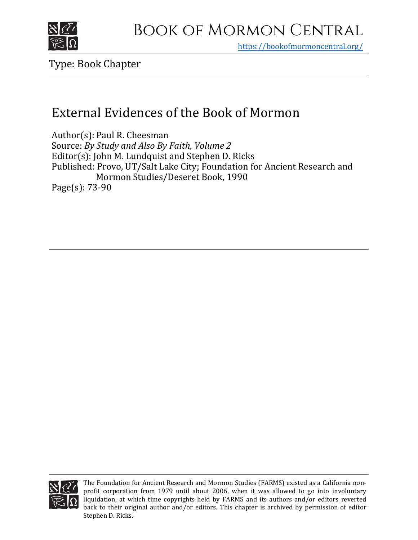

https[://bookofmormoncentral.org/](https://bookofmormoncentral.org/)

Type: Book Chapter

# External Evidences of the Book of Mormon

Author(s): Paul R. Cheesman Source: *By Study and Also By Faith, Volume 2* Editor(s): John M. Lundquist and Stephen D. Ricks Published: Provo, UT/Salt Lake City; Foundation for Ancient Research and Mormon Studies/Deseret Book, 1990 Page(s): 73-90



The Foundation for Ancient Research and Mormon Studies (FARMS) existed as a California nonprofit corporation from 1979 until about 2006, when it was allowed to go into involuntary liquidation, at which time copyrights held by FARMS and its authors and/or editors reverted back to their original author and/or editors. This chapter is archived by permission of editor Stephen D. Ricks.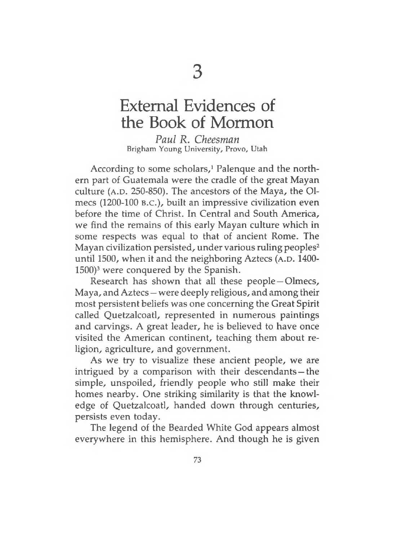# External Evidences of the Book of Mormon

*Paul R. Cheesman* Brigham Young University, Provo, Utah

According to some scholars,<sup>1</sup> Palenque and the northern part of Guatemala were the cradle of the great Mayan culture ( $A.D. 250-850$ ). The ancestors of the Maya, the Olmecs (1200-100 b.c.), built an impressive civilization even before the time of Christ. In Central and South America, we find the remains of this early Mayan culture which in some respects was equal to that of ancient Rome. The Mayan civilization persisted, under various ruling peoples<sup>2</sup> until 1500, when it and the neighboring Aztecs (A.D.  $1400-$ 1500)<sup>3</sup> were conquered by the Spanish.

Research has shown that all these people—Olmecs, Maya, and Aztecs — were deeply religious, and among their most persistent beliefs was one concerning the Great Spirit called Quetzalcoatl, represented in numerous paintings and carvings. A great leader, he is believed to have once visited the American continent, teaching them about religion, agriculture, and government.

As we try to visualize these ancient people, we are intrigued by a comparison with their descendants —the simple, unspoiled, friendly people who still make their homes nearby. One striking similarity is that the knowledge of Quetzalcoatl, handed down through centuries, persists even today.

The legend of the Bearded White God appears almost everywhere in this hemisphere. And though he is given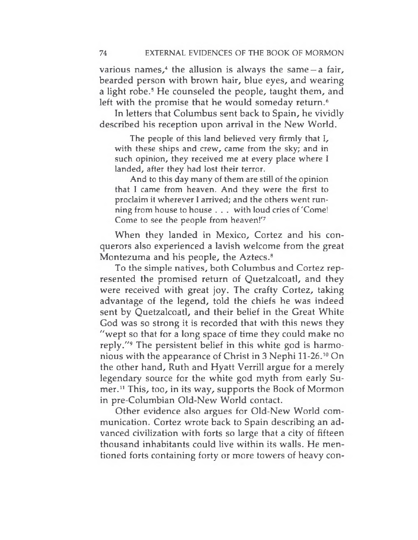various names, $4$  the allusion is always the same  $-a$  fair, bearded person with brown hair, blue eyes, and wearing a light robe.<sup>5</sup> He counseled the people, taught them, and left with the promise that he would someday return.<sup>6</sup>

In letters that Columbus sent back to Spain, he vividly described his reception upon arrival in the New World.

The people of this land believed very firmly that I, with these ships and crew, came from the sky; and in such opinion, they received me at every place where I landed, after they had lost their terror.

And to this day many of them are still of the opinion that I came from heaven. And they were the first to proclaim it wherever <sup>I</sup> arrived; and the others went running from house to house . . . with loud cries of 'Come! Come to see the people from heaven!'<sup>7</sup>

When they landed in Mexico, Cortez and his conquerors also experienced a lavish welcome from the great Montezuma and his people, the Aztecs.<sup>8</sup>

To the simple natives, both Columbus and Cortez represented the promised return of Quetzalcoatl, and they were received with great joy. The crafty Cortez, taking advantage of the legend, told the chiefs he was indeed sent by Quetzalcoatl, and their belief in the Great White God was so strong it is recorded that with this news they "wept so that for a long space of time they could make no reply."<sup>9</sup> The persistent belief in this white god is harmonious with the appearance of Christ in 3 Nephi 11-26.<sup>10</sup> On the other hand, Ruth and Hyatt Verrill argue for a merely legendary source for the white god myth from early Sumer.<sup>11</sup> This, too, in its way, supports the Book of Mormon in pre-Columbian Old-New World contact.

Other evidence also argues for Old-New World communication. Cortez wrote back to Spain describing an advanced civilization with forts so large that a city of fifteen thousand inhabitants could live within its walls. He mentioned forts containing forty or more towers of heavy con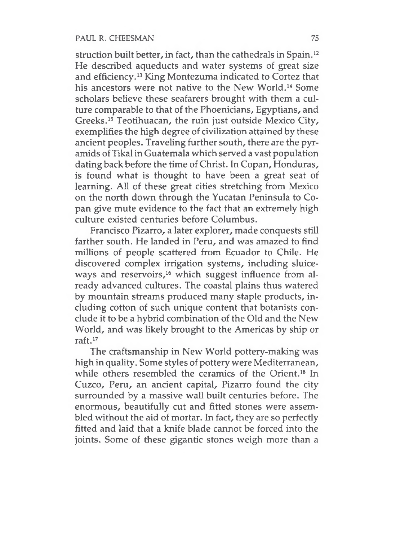## PAUL R. CHEESMAN 75

struction built better, in fact, than the cathedrals in Spain.<sup>12</sup> He described aqueducts and water systems of great size and efficiency.<sup>13</sup> King Montezuma indicated to Cortez that his ancestors were not native to the New World.<sup>14</sup> Some scholars believe these seafarers brought with them a culture comparable to that of the Phoenicians, Egyptians, and Greeks.<sup>15</sup> Teotihuacan, the ruin just outside Mexico City, exemplifies the high degree of civilization attained by these ancient peoples. Traveling further south, there are the pyramids of Tikal in Guatemala which served a vast population dating back before the time of Christ. In Copan, Honduras, is found what is thought to have been a great seat of learning. All of these great cities stretching from Mexico on the north down through the Yucatan Peninsula to Copan give mute evidence to the fact that an extremely high culture existed centuries before Columbus.

Francisco Pizarro, a later explorer, made conquests still farther south. He landed in Peru, and was amazed to find millions of people scattered from Ecuador to Chile. He discovered complex irrigation systems, including sluiceways and reservoirs,<sup>16</sup> which suggest influence from already advanced cultures. The coastal plains thus watered by mountain streams produced many staple products, including cotton of such unique content that botanists conclude it to be a hybrid combination of the Old and the New World, and was likely brought to the Americas by ship or raft.<sup>17</sup>

The craftsmanship in New World pottery-making was high in quality. Some styles of pottery were Mediterranean, while others resembled the ceramics of the Orient.<sup>18</sup> In Cuzco, Peru, an ancient capital, Pizarro found the city surrounded by a massive wall built centuries before. The enormous, beautifully cut and fitted stones were assembled without the aid of mortar. In fact, they are so perfectly fitted and laid that a knife blade cannot be forced into the joints. Some of these gigantic stones weigh more than a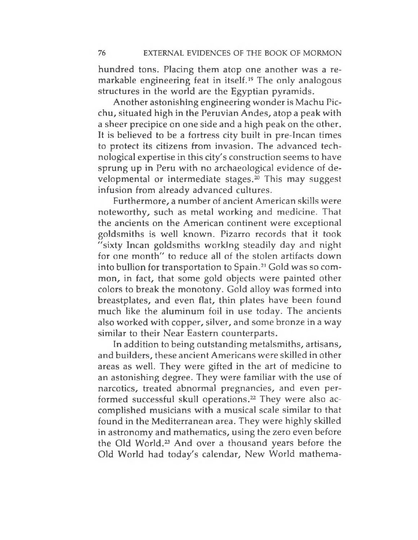hundred tons. Placing them atop one another was a remarkable engineering feat in itself.<sup>19</sup> The only analogous structures in the world are the Egyptian pyramids.

Another astonishing engineering wonder is Machu Picchu, situated high in the Peruvian Andes, atop a peak with a sheer precipice on one side and a high peak on the other. It is believed to be a fortress city built in pre-Incan times to protect its citizens from invasion. The advanced technological expertise in this city's construction seems to have sprung up in Peru with no archaeological evidence of developmental or intermediate stages. $20$  This may suggest infusion from already advanced cultures.

Furthermore, a number of ancient American skills were noteworthy, such as metal working and medicine. That the ancients on the American continent were exceptional goldsmiths is well known. Pizarro records that it took "sixty Incan goldsmiths working steadily day and night for one month" to reduce all of the stolen artifacts down into bullion for transportation to Spain.<sup>21</sup> Gold was so common, in fact, that some gold objects were painted other colors to break the monotony. Gold alloy was formed into breastplates, and even flat, thin plates have been found much like the aluminum foil in use today. The ancients also worked with copper, silver, and some bronze in a way similar to their Near Eastern counterparts.

In addition to being outstanding metalsmiths, artisans, and builders, these ancient Americans were skilled in other areas as well. They were gifted in the art of medicine to an astonishing degree. They were familiar with the use of narcotics, treated abnormal pregnancies, and even performed successful skull operations.<sup>22</sup> They were also accomplished musicians with a musical scale similar to that found in the Mediterranean area. They were highly skilled in astronomy and mathematics, using the zero even before the Old World.<sup>23</sup> And over a thousand years before the Old World had today's calendar, New World mathema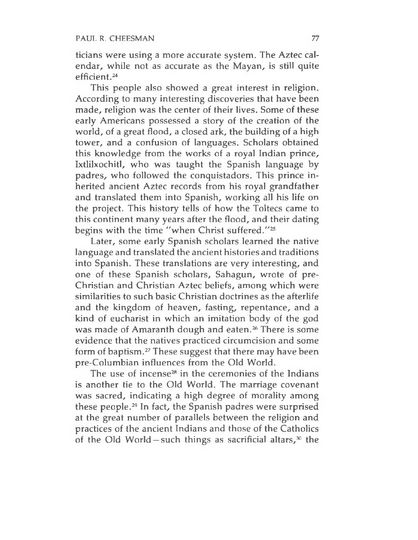ticians were using a more accurate system. The Aztec calendar, while not as accurate as the Mayan, is still quite efficient.<sup>24</sup>

This people also showed a great interest in religion. According to many interesting discoveries that have been made, religion was the center of their lives. Some of these early Americans possessed a story of the creation of the world, of a great flood, a closed ark, the building of a high tower, and a confusion of languages. Scholars obtained this knowledge from the works of a royal Indian prince, Ixtlilxochitl, who was taught the Spanish language by padres, who followed the conquistadors. This prince inherited ancient Aztec records from his royal grandfather and translated them into Spanish, working all his life on the project. This history tells of how the Toltecs came to this continent many years after the flood, and their dating begins with the time "when Christ suffered."<sup>25</sup>

Later, some early Spanish scholars learned the native language and translated the ancient histories and traditions into Spanish. These translations are very interesting, and one of these Spanish scholars, Sahagun, wrote of pre-Christian and Christian Aztec beliefs, among which were similarities to such basic Christian doctrines as the afterlife and the kingdom of heaven, fasting, repentance, and a kind of eucharist in which an imitation body of the god was made of Amaranth dough and eaten.<sup>26</sup> There is some evidence that the natives practiced circumcision and some form of baptism.<sup>27</sup> These suggest that there may have been pre-Columbian influences from the Old World.

The use of incense<sup>28</sup> in the ceremonies of the Indians is another tie to the Old World. The marriage covenant was sacred, indicating a high degree of morality among these people.<sup>29</sup> In fact, the Spanish padres were surprised at the great number of parallels between the religion and practices of the ancient Indians and those of the Catholics of the Old World – such things as sacrificial altars, $30$  the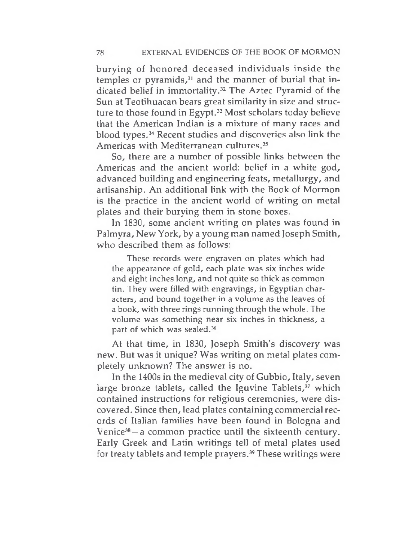burying of honored deceased individuals inside the temples or pyramids, $31$  and the manner of burial that indicated belief in immortality.<sup>32</sup> The Aztec Pyramid of the Sun at Teotihuacan bears great similarity in size and structure to those found in Egypt.<sup>33</sup> Most scholars today believe that the American Indian is a mixture of many races and blood types.<sup>34</sup> Recent studies and discoveries also link the Americas with Mediterranean cultures.<sup>35</sup>

So, there are a number of possible links between the Americas and the ancient world: belief in a white god, advanced building and engineering feats, metallurgy, and artisanship. An additional link with the Book of Mormon is the practice in the ancient world of writing on metal plates and their burying them in stone boxes.

In 1830, some ancient writing on plates was found in Palmyra, New York, by a young man named Joseph Smith, who described them as follows:

These records were engraven on plates which had the appearance of gold, each plate was six inches wide and eight inches long, and not quite so thick as common tin. They were filled with engravings, in Egyptian characters, and bound together in a volume as the leaves of a book, with three rings running through the whole. The volume was something near six inches in thickness, a part of which was sealed.<sup>36</sup>

At that time, in 1830, Joseph Smith's discovery was new. But was it unique? Was writing on metal plates completely unknown? The answer is no.

In the 1400s in the medieval city of Gubbio, Italy, seven large bronze tablets, called the Iguvine Tablets,<sup>37</sup> which contained instructions for religious ceremonies, were discovered. Since then, lead plates containing commercial records of Italian families have been found in Bologna and Venice<sup>38</sup> —a common practice until the sixteenth century. Early Greek and Latin writings tell of metal plates used for treaty tablets and temple prayers.<sup>39</sup> These writings were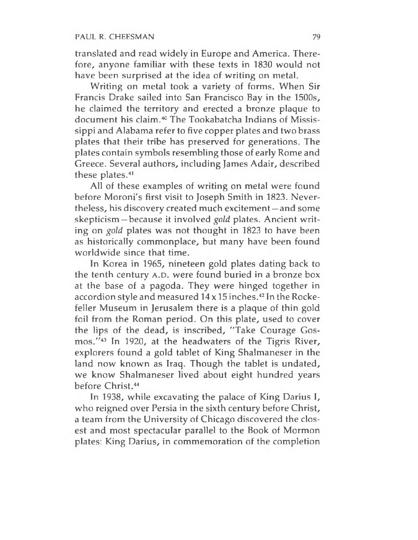translated and read widely in Europe and America. Therefore, anyone familiar with these texts in 1830 would not have been surprised at the idea of writing on metal.

Writing on metal took a variety of forms. When Sir Francis Drake sailed into San Francisco Bay in the 1500s, he claimed the territory and erected a bronze plaque to document his claim.<sup>40</sup> The Tookabatcha Indians of Mississippi and Alabama refer to five copper plates and two brass plates that their tribe has preserved for generations. The plates contain symbols resembling those of early Rome and Greece. Several authors, including James Adair, described these plates.<sup>41</sup>

All of these examples of writing on metal were found before Moroni's first visit to Joseph Smith in 1823. Nevertheless, his discovery created much excitement —and some skepticism —because it involved *gold* plates. Ancient writing on *gold* plates was not thought in 1823 to have been as historically commonplace, but many have been found worldwide since that time.

In Korea in 1965, nineteen gold plates dating back to the tenth century A.D. were found buried in a bronze box at the base of a pagoda. They were hinged together in accordion style and measured 14 x 15 inches.<sup>42</sup> In the Rockefeller Museum in Jerusalem there is a plaque of thin gold foil from the Roman period. On this plate, used to cover the lips of the dead, is inscribed, "Take Courage Gosmos."<sup>43</sup> In 1920, at the headwaters of the Tigris River, explorers found a gold tablet of King Shalmaneser in the land now known as Iraq. Though the tablet is undated, we know Shalmaneser lived about eight hundred years before Christ.<sup>44</sup>

In 1938, while excavating the palace of King Darius I, who reigned over Persia in the sixth century before Christ, a team from the University of Chicago discovered the closest and most spectacular parallel to the Book of Mormon plates: King Darius, in commemoration of the completion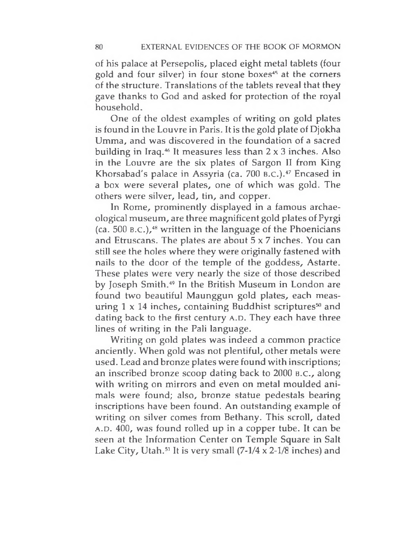of his palace at Persepolis, placed eight metal tablets (four gold and four silver) in four stone boxes<sup>45</sup> at the corners of the structure. Translations of the tablets reveal that they gave thanks to God and asked for protection of the royal household.

One of the oldest examples of writing on gold plates is found in the Louvre in Paris. It is the gold plate of Djokha Umma, and was discovered in the foundation of a sacred building in Iraq.<sup>46</sup> It measures less than  $2 \times 3$  inches. Also in the Louvre are the six plates of Sargon II from King Khorsabad's palace in Assyria (ca. 700 B.C.).<sup>47</sup> Encased in a box were several plates, one of which was gold. The others were silver, lead, tin, and copper.

In Rome, prominently displayed in a famous archaeological museum, are three magnificent gold plates of Pyrgi  $(ca. 500 B.C.)$ ,<sup>48</sup> written in the language of the Phoenicians and Etruscans. The plates are about  $5 \times 7$  inches. You can still see the holes where they were originally fastened with nails to the door of the temple of the goddess, Astarte. These plates were very nearly the size of those described by Joseph Smith.<sup>49</sup> In the British Museum in London are found two beautiful Maunggun gold plates, each measuring  $1 \times 14$  inches, containing Buddhist scriptures<sup>50</sup> and dating back to the first century A.D. They each have three lines of writing in the Pali language.

Writing on gold plates was indeed a common practice anciently. When gold was not plentiful, other metals were used. Lead and bronze plates were found with inscriptions; an inscribed bronze scoop dating back to 2000 b.c., along with writing on mirrors and even on metal moulded animals were found; also, bronze statue pedestals bearing inscriptions have been found. An outstanding example of writing on silver comes from Bethany. This scroll, dated A.D. 400, was found rolled up in a copper tube. It can be seen at the Information Center on Temple Square in Salt Lake City, Utah.<sup>51</sup> It is very small  $(7-1/4 \times 2-1/8)$  inches) and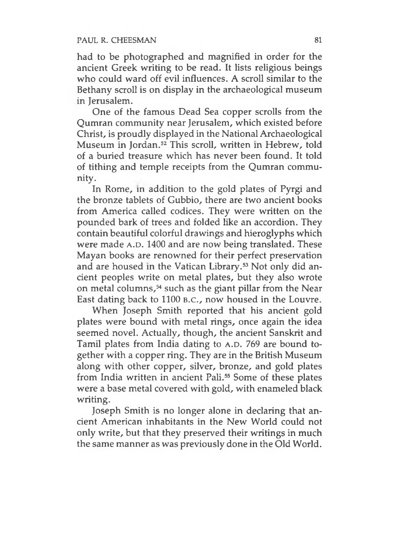### PAUL R. CHEESMAN 81

had to be photographed and magnified in order for the ancient Greek writing to be read. It lists religious beings who could ward off evil influences. A scroll similar to the Bethany scroll is on display in the archaeological museum in Jerusalem.

One of the famous Dead Sea copper scrolls from the Qumran community near Jerusalem, which existed before Christ, is proudly displayed in the National Archaeological Museum in Jordan.<sup>52</sup> This scroll, written in Hebrew, told of a buried treasure which has never been found. It told of tithing and temple receipts from the Qumran community.

In Rome, in addition to the gold plates of Pyrgi and the bronze tablets of Gubbio, there are two ancient books from America called codices. They were written on the pounded bark of trees and folded like an accordion. They contain beautiful colorful drawings and hieroglyphs which were made A.D. 1400 and are now being translated. These Mayan books are renowned for their perfect preservation and are housed in the Vatican Library.<sup>53</sup> Not only did ancient peoples write on metal plates, but they also wrote on metal columns,<sup>54</sup> such as the giant pillar from the Near East dating back to 1100 B.C., now housed in the Louvre.

When Joseph Smith reported that his ancient gold plates were bound with metal rings, once again the idea seemed novel. Actually, though, the ancient Sanskrit and Tamil plates from India dating to A.D. 769 are bound together with a copper ring. They are in the British Museum along with other copper, silver, bronze, and gold plates from India written in ancient Pali.<sup>55</sup> Some of these plates were a base metal covered with gold, with enameled black writing.

Joseph Smith is no longer alone in declaring that ancient American inhabitants in the New World could not only write, but that they preserved their writings in much the same manner as was previously done in the Old World.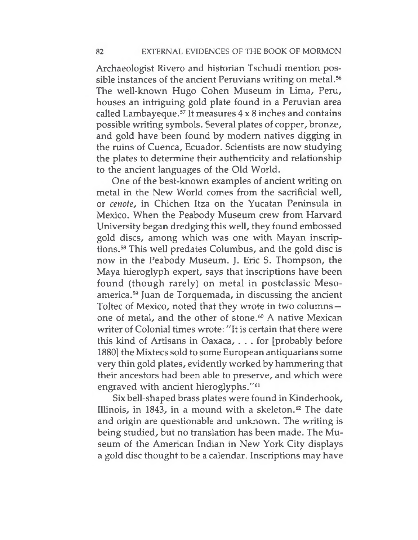Archaeologist Rivero and historian Tschudi mention possible instances of the ancient Peruvians writing on metal.<sup>56</sup> The well-known Hugo Cohen Museum in Lima, Peru, houses an intriguing gold plate found in a Peruvian area called Lambayeque.<sup>57</sup> It measures  $4 \times 8$  inches and contains possible writing symbols. Several plates of copper, bronze, and gold have been found by modern natives digging in the ruins of Cuenca, Ecuador. Scientists are now studying the plates to determine their authenticity and relationship to the ancient languages of the Old World.

One of the best-known examples of ancient writing on metal in the New World comes from the sacrificial well, or *cenote,* in Chichen Itza on the Yucatan Peninsula in Mexico. When the Peabody Museum crew from Harvard University began dredging this well, they found embossed gold discs, among which was one with Mayan inscriptions.<sup>58</sup> This well predates Columbus, and the gold disc is now in the Peabody Museum. J. Eric S. Thompson, the Maya hieroglyph expert, says that inscriptions have been found (though rarely) on metal in postclassic Mesoamerica.<sup>59</sup> Juan de Torquemada, in discussing the ancient Toltec of Mexico, noted that they wrote in two columns one of metal, and the other of stone.<sup>60</sup> A native Mexican writer of Colonial times wrote: "It is certain that there were this kind of Artisans in Oaxaca, ... for [probably before 1880] the Mixtecs sold to some European antiquarians some very thin gold plates, evidently worked by hammering that their ancestors had been able to preserve, and which were engraved with ancient hieroglyphs."<sup>61</sup>

Six bell-shaped brass plates were found in Kinderhook, Illinois, in 1843, in a mound with a skeleton. $62$  The date and origin are questionable and unknown. The writing is being studied, but no translation has been made. The Museum of the American Indian in New York City displays a gold disc thought to be a calendar. Inscriptions may have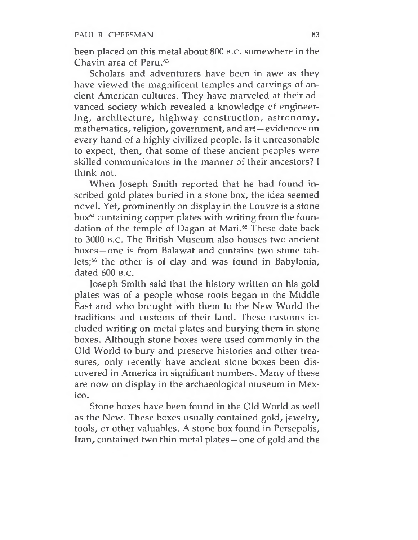been placed on this metal about 800 b.c. somewhere in the Chavin area of Peru.<sup>63</sup>

Scholars and adventurers have been in awe as they have viewed the magnificent temples and carvings of ancient American cultures. They have marveled at their advanced society which revealed a knowledge of engineering, architecture, highway construction, astronomy, mathematics, religion, government, and art —evidences on every hand of a highly civilized people. Is it unreasonable to expect, then, that some of these ancient peoples were skilled communicators in the manner of their ancestors? I think not.

When Joseph Smith reported that he had found inscribed gold plates buried in a stone box, the idea seemed novel. Yet, prominently on display in the Louvre is a stone box<sup>64</sup> containing copper plates with writing from the foundation of the temple of Dagan at Mari.<sup>65</sup> These date back to 3000 b.c. The British Museum also houses two ancient boxes —one is from Balawat and contains two stone tablets;<sup>66</sup> the other is of clay and was found in Babylonia, dated 600 B.C.

Joseph Smith said that the history written on his gold plates was of a people whose roots began in the Middle East and who brought with them to the New World the traditions and customs of their land. These customs included writing on metal plates and burying them in stone boxes. Although stone boxes were used commonly in the Old World to bury and preserve histories and other treasures, only recently have ancient stone boxes been discovered in America in significant numbers. Many of these are now on display in the archaeological museum in Mexico.

Stone boxes have been found in the Old World as well as the New. These boxes usually contained gold, jewelry, tools, or other valuables. A stone box found in Persepolis, Iran, contained two thin metal plates —one of gold and the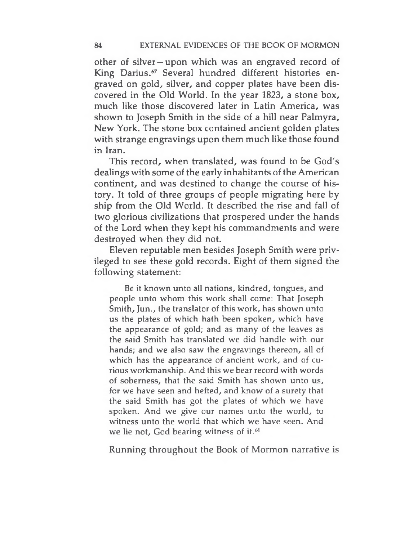other of silver —upon which was an engraved record of King Darius.<sup>67</sup> Several hundred different histories engraved on gold, silver, and copper plates have been discovered in the Old World. In the year 1823, a stone box, much like those discovered later in Latin America, was shown to Joseph Smith in the side of a hill near Palmyra, New York. The stone box contained ancient golden plates with strange engravings upon them much like those found in Iran.

This record, when translated, was found to be God's dealings with some of the early inhabitants of the American continent, and was destined to change the course of history. It told of three groups of people migrating here by ship from the Old World. It described the rise and fall of two glorious civilizations that prospered under the hands of the Lord when they kept his commandments and were destroyed when they did not.

Eleven reputable men besides Joseph Smith were privileged to see these gold records. Eight of them signed the following statement:

Be it known unto all nations, kindred, tongues, and people unto whom this work shall come: That Joseph Smith, Jun., the translator of this work, has shown unto us the plates of which hath been spoken, which have the appearance of gold; and as many of the leaves as the said Smith has translated we did handle with our hands; and we also saw the engravings thereon, all of which has the appearance of ancient work, and of curious workmanship. And this we bear record with words of soberness, that the said Smith has shown unto us, for we have seen and hefted, and know of a surety that the said Smith has got the plates of which we have spoken. And we give our names unto the world, to witness unto the world that which we have seen. And we lie not, God bearing witness of it.<sup>68</sup>

Running throughout the Book of Mormon narrative is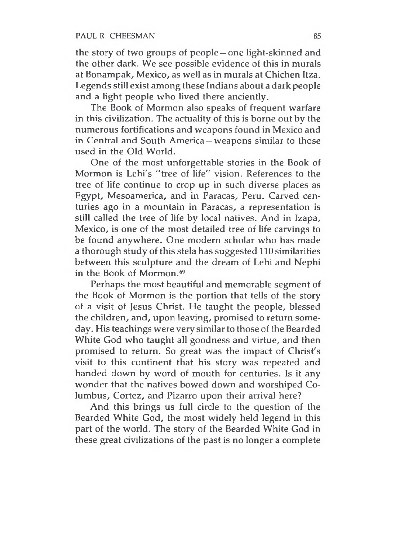the story of two groups of people —one light-skinned and the other dark. We see possible evidence of this in murals at Bonampak, Mexico, as well as in murals at Chichen Itza. Legends still exist among these Indians about a dark people and a light people who lived there anciently.

The Book of Mormon also speaks of frequent warfare in this civilization. The actuality of this is borne out by the numerous fortifications and weapons found in Mexico and in Central and South America —weapons similar to those used in the Old World.

One of the most unforgettable stories in the Book of Mormon is Lehi's "tree of life" vision. References to the tree of life continue to crop up in such diverse places as Egypt, Mesoamerica, and in Paracas, Peru. Carved centuries ago in a mountain in Paracas, a representation is still called the tree of life by local natives. And in Izapa, Mexico, is one of the most detailed tree of life carvings to be found anywhere. One modern scholar who has made a thorough study of this stela has suggested 110 similarities between this sculpture and the dream of Lehi and Nephi in the Book of Mormon.<sup>69</sup>

Perhaps the most beautiful and memorable segment of the Book of Mormon is the portion that tells of the story of a visit of Jesus Christ. He taught the people, blessed the children, and, upon leaving, promised to return someday. His teachings were verysimilar to those of the Bearded White God who taught all goodness and virtue, and then promised to return. So great was the impact of Christ's visit to this continent that his story was repeated and handed down by word of mouth for centuries. Is it any wonder that the natives bowed down and worshiped Columbus, Cortez, and Pizarro upon their arrival here?

And this brings us full circle to the question of the Bearded White God, the most widely held legend in this part of the world. The story of the Bearded White God in these great civilizations of the past is no longer a complete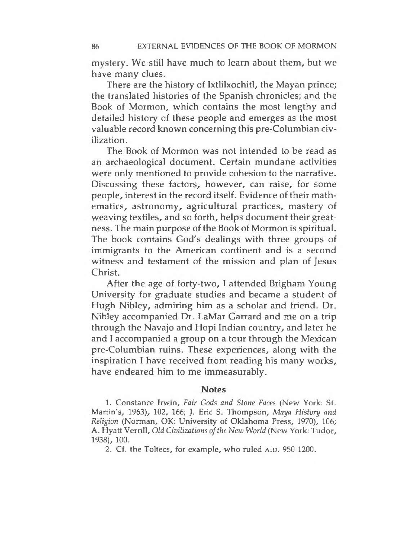mystery. We still have much to learn about them, but we have many clues.

There are the history of Ixtlilxochitl, the Mayan prince; the translated histories of the Spanish chronicles; and the Book of Mormon, which contains the most lengthy and detailed history of these people and emerges as the most valuable record known concerning this pre-Columbian civilization.

The Book of Mormon was not intended to be read as an archaeological document. Certain mundane activities were only mentioned to provide cohesion to the narrative. Discussing these factors, however, can raise, for some people, interest in the record itself. Evidence of their mathematics, astronomy, agricultural practices, mastery of weaving textiles, and so forth, helps document their greatness. The main purpose of the Book of Mormon is spiritual. The book contains God's dealings with three groups of immigrants to the American continent and is a second witness and testament of the mission and plan of Jesus Christ.

After the age of forty-two, I attended Brigham Young University for graduate studies and became a student of Hugh Nibley, admiring him as a scholar and friend. Dr. Nibley accompanied Dr. LaMar Garrard and me on a trip through the Navajo and Hopi Indian country, and later he and I accompanied a group on a tour through the Mexican pre-Columbian ruins. These experiences, along with the inspiration I have received from reading his many works, have endeared him to me immeasurably.

#### **Notes**

1. Constance Irwin, *Fair Gods and Stone Faces* (New York: St. Martin's, 1963), 102, 166; J. Eric S. Thompson, *Maya History and Religion* (Norman, OK: University of Oklahoma Press, 1970), 106; A. Hyatt Verrill, *Old Civilizations ofthe Hew World* (New York: Tudor, 1938), 100.

2. Cf. the Toltecs, for example, who ruled A.D. 950-1200.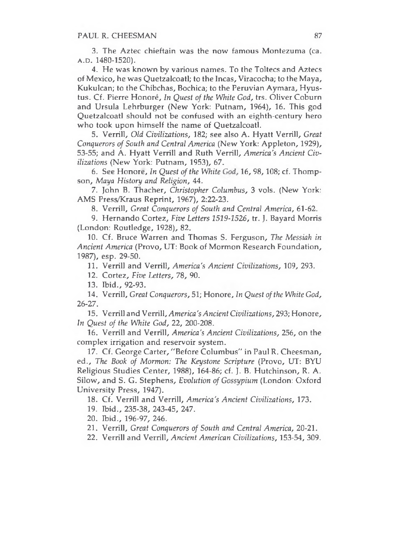3. The Aztec chieftain was the now famous Montezuma (ca. a.d. 1480-1520).

4. He was known by various names. To the Toltecs and Aztecs of Mexico, he was Quetzalcoatl; to the Incas, Viracocha; to the Maya, Kukulcan; to the Chibchas, Bochica; to the Peruvian Aymara, Hyustus. Cf. Pierre Honore, *In Quest of the White God,* trs. Oliver Coburn and Ursula Lehrburger (New York: Putnam, 1964), 16. This god Quetzalcoatl should not be confused with an eighth-century hero who took upon himself the name of Quetzalcoatl.

5. Verrill, *Old Civilizations,* 182; see also A. Hyatt Verrill, *Great Conquerors of South and Central America* (New York: Appleton, 1929), 53-55; and A. Hyatt Verrill and Ruth Verrill, *America's Ancient Civilizations* (New York: Putnam, 1953), 67.

6. See Honore, *In Quest of the White God,* 16, 98, 108; cf. Thompson, *Maya History and Religion,* 44.

7. John B. Thacher, *Christopher Columbus,* 3 vols. (New York: AMS Press/Kraus Reprint, 1967), 2:22-23.

8. Verrill, *Great Conquerors of South and Central America,* 61-62.

9. Hernando Cortez, *Five Letters 1519-1526,* tr. J. Bayard Morris (London: Routledge, 1928), 82.

10. Cf. Bruce Warren and Thomas S. Ferguson, *The Messiah in Ancient America* (Provo, UT: Book of Mormon Research Foundation, 1987), esp. 29-50.

11. Verrill and Verrill, *America's Ancient Civilizations,* 109, 293.

12. Cortez, *Five Letters, 78, 90.*

13. Ibid., 92-93.

14. Verrill, *Great Conquerors,* 51; Honore, *In Quest ofthe White God, 26-27,*

15. Verrill and Verrill, *America'sAncient Civilizations,* 293; Honore, *In Quest of the White God,* 22, 200-208.

16. Verrill and Verrill, *America's Ancient Civilizations,* 256, on the complex irrigation and reservoir system.

17. Cf. George Carter, "Before Columbus" in Paul R. Cheesman, ed., *The Book of Mormon: The Keystone Scripture* (Provo, UT: BYU Religious Studies Center, 1988), 164-86; cf. J. B. Hutchinson, R. A. Silow, and S. G. Stephens, *Evolution of Gossypium* (London: Oxford University Press, 1947).

18. Cf. Verrill and Verrill, *America's Ancient Civilizations,* 173.

19. Ibid., 235-38, 243-45, 247.

20. Ibid., 196-97, 246.

21. Verrill, *Great Conquerors of South and Central America,* 20-21.

22. Verrill and Verrill, *Ancient American Civilizations,* 153-54, 309.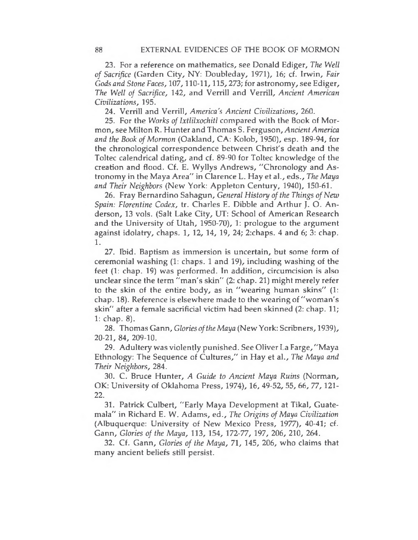23. For a reference on mathematics, see Donald Ediger, *The Well of Sacrifice* (Garden City, NY: Doubleday, 1971), 16; cf. Irwin, *Fair Gods and Stone Faces,* 107,110-11,115,273; for astronomy, see Ediger, *The Well of Sacrifice,* 142, and Verrill and Verrill, *Ancient American Civilizations,* 195.

24. Verrill and Verrill, *America's Ancient Civilizations,* 260.

25. For the *Works ofIxtlilxochitl* compared with the Book of Mormon, see Milton R. Hunter and Thomas S. Ferguson,*AncientAmerica and the Book ofMormon* (Oakland, CA: Kolob, 1950), esp. 189-94, for the chronological correspondence between Christ's death and the Toltec calendrical dating, and cf. 89-90 for Toltec knowledge of the creation and flood. Cf. E. Wyllys Andrews, "Chronology and Astronomy in the Maya Area" in Clarence L. Hay et al., eds., *The Maya and Their Neighbors* (New York: Appleton Century, 1940), 150-61.

26. Fray Bernardino Sahagun, *General History ofthe Things ofNew Spain: Florentine Codex,* tr. Charles E. Dibble and Arthur J. O. Anderson, 13 vols. (Salt Lake City, UT: School of American Research and the University of Utah, 1950-70), 1: prologue to the argument against idolatry, chaps. 1, 12, 14, 19, 24; 2:chaps. 4 and 6; 3: chap. 1.

27. Ibid. Baptism as immersion is uncertain, but some form of ceremonial washing (1: chaps. <sup>1</sup> and 19), including washing of the feet (1: chap. 19) was performed. In addition, circumcision is also unclear since the term "man's skin" (2: chap. 21) might merely refer to the skin of the entire body, as in "wearing human skins" (1: chap. 18). Reference is elsewhere made to the wearing of "woman's skin" after a female sacrificial victim had been skinned (2: chap. 11; 1: chap. 8).

28. Thomas Gann, *Glories ofthe Maya* (New York: Scribners, 1939), 20-21, 84, 209-10.

29. Adultery was violently punished. See Oliver La Farge, "Maya Ethnology: The Sequence of Cultures," in Hay et al., *The Maya and Their Neighbors,* 284.

30. C. Bruce Hunter, *A Guide to Ancient Maya Ruins* (Norman, OK: University of Oklahoma Press, 1974), 16, 49-52, 55, 66, 77, 121- 22.

31. Patrick Culbert, "Early Maya Development at Tikal, Guatemala" in Richard E. W. Adams, ed., *The Origins of Maya Civilization* (Albuquerque: University of New Mexico Press, 1977), 40-41; cf. Gann, *Glories of the Maya,* 113, 154, 172-77, 197, 206, 210, 264.

32. Cf. Gann, *Glories of the Maya,* 71, 145, 206, who claims that many ancient beliefs still persist.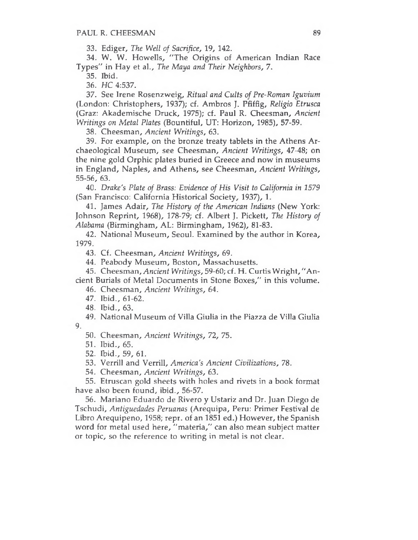33. Ediger, *The Well of Sacrifice, 19,* 142.

34. W. W. Howells, "The Origins of American Indian Race Types" in Hay et al., *The Maya and Their Neighbors, 7.*

35. Ibid.

36. *HC* 4:537.

37. See Irene Rosenzweig, *Ritual and Cults of Pre-Roman Iguvium* (London: Christophers, 1937); cf. Ambros J. Pfiffig, *Religio Etrusca* (Graz: Akademische Druck, 1975); cf. Paul R. Cheesman, *Ancient Writings on Metal Plates* (Bountiful, UT: Horizon, 1985), 57-59.

38. Cheesman, *Ancient Writings,* 63.

39. For example, on the bronze treaty tablets in the Athens Archaeological Museurn, see Cheesman, *Ancient Writings,* 47-48; on the nine gold Orphic plates buried in Greece and now in museums in England, Naples, and Athens, see Cheesman, *Ancient Writings,* 55-56, 63.

40. *Drake's Plate of Brass: Evidence of His Visit to California in 1579* (San Francisco: California Historical Society, 1937), 1.

41. James Adair, *The History of the American Indians* (New York: Johnson Reprint, 1968), 178-79; cf. Albert J. Pickett, *The History of Alabama* (Birmingham, AL: Birmingham, 1962), 81-83.

42. National Museum, Seoul. Examined by the author in Korea, 1979.

43. Cf. Cheesman, *Ancient Writings,* 69.

44. Peabody Museum, Boston, Massachusetts.

45. Cheesman, *Ancient Writings,* 59-60; cf. H. Curtis Wright, "Ancient Burials of Metal Documents in Stone Boxes," in this volume.

46. Cheesman, *Ancient Writings,* 64.

47. Ibid., 61-62.

48. Ibid., 63.

49. National Museum of Villa Giulia in the Piazza de Villa Giulia 9.

50. Cheesman, *Ancient Writings, 72,* 75.

51. Ibid., 65.

52. Ibid., 59, 61.

53. Verrill and Verrill, *America's Ancient Civilizations,* 78.

54. Cheesman, *Ancient Writings,* 63.

55. Etruscan gold sheets with holes and rivets in a book format have also been found, ibid., 56-57.

56. Mariano Eduardo de Rivero y Ustariz and Dr. Juan Diego de Tschudi, *Antiguedades Peruanas* (Arequipa, Peru: Primer Festival de Libro Arequipeno, 1958; repr. of an 1851 ed.) However, the Spanish word for metal used here, "materia," can also mean subject matter or topic, so the reference to writing in metal is not clear.